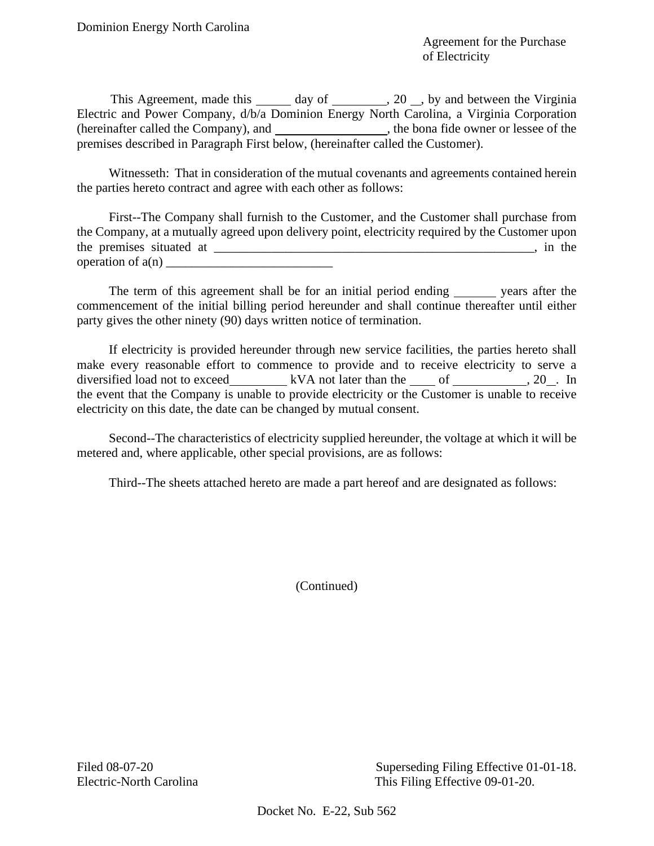This Agreement, made this  $\_\_\_\_$  day of  $\_\_\_\_$ , 20  $\_\_\_$ , by and between the Virginia Electric and Power Company, d/b/a Dominion Energy North Carolina, a Virginia Corporation (hereinafter called the Company), and \_\_\_\_\_\_\_\_\_\_\_\_\_\_\_\_, the bona fide owner or lessee of the premises described in Paragraph First below, (hereinafter called the Customer).

Witnesseth: That in consideration of the mutual covenants and agreements contained herein the parties hereto contract and agree with each other as follows:

First--The Company shall furnish to the Customer, and the Customer shall purchase from the Company, at a mutually agreed upon delivery point, electricity required by the Customer upon the premises situated at \_\_\_\_\_\_\_\_\_\_\_\_\_\_\_\_\_\_\_\_\_\_\_\_\_\_\_\_\_\_\_\_\_\_\_\_\_\_\_\_\_\_\_\_\_\_\_\_\_\_, in the operation of a(n) \_\_\_\_\_\_\_\_\_\_\_\_\_\_\_\_\_\_\_\_\_\_\_\_\_\_

The term of this agreement shall be for an initial period ending years after the commencement of the initial billing period hereunder and shall continue thereafter until either party gives the other ninety (90) days written notice of termination.

If electricity is provided hereunder through new service facilities, the parties hereto shall make every reasonable effort to commence to provide and to receive electricity to serve a diversified load not to exceed  $kVA$  not later than the of  $\sim$  , 20 . In the event that the Company is unable to provide electricity or the Customer is unable to receive electricity on this date, the date can be changed by mutual consent.

Second--The characteristics of electricity supplied hereunder, the voltage at which it will be metered and, where applicable, other special provisions, are as follows:

Third--The sheets attached hereto are made a part hereof and are designated as follows:

(Continued)

Filed 08-07-20 Superseding Filing Effective 01-01-18. Electric-North Carolina This Filing Effective 09-01-20.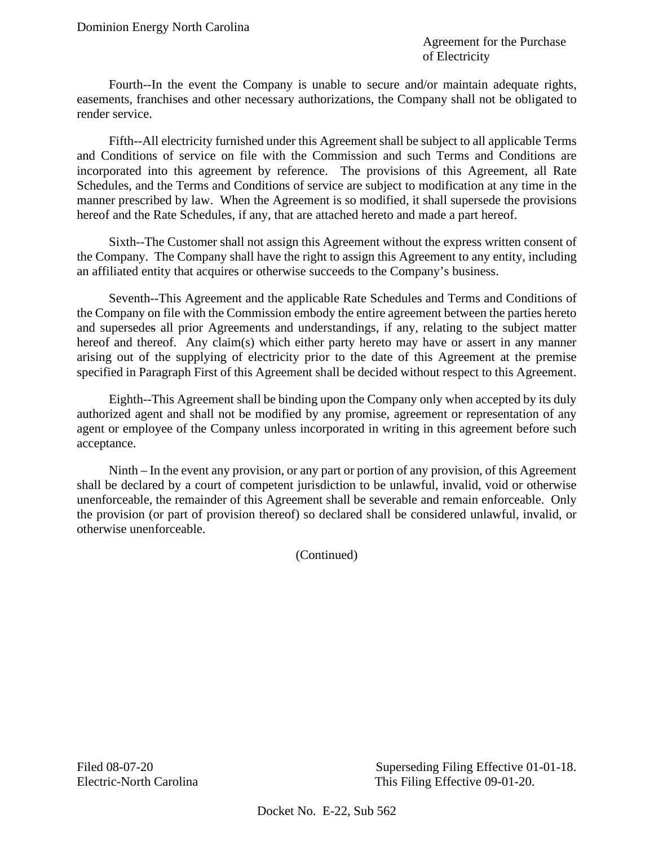Fourth--In the event the Company is unable to secure and/or maintain adequate rights, easements, franchises and other necessary authorizations, the Company shall not be obligated to render service.

Fifth--All electricity furnished under this Agreement shall be subject to all applicable Terms and Conditions of service on file with the Commission and such Terms and Conditions are incorporated into this agreement by reference. The provisions of this Agreement, all Rate Schedules, and the Terms and Conditions of service are subject to modification at any time in the manner prescribed by law. When the Agreement is so modified, it shall supersede the provisions hereof and the Rate Schedules, if any, that are attached hereto and made a part hereof.

Sixth--The Customer shall not assign this Agreement without the express written consent of the Company. The Company shall have the right to assign this Agreement to any entity, including an affiliated entity that acquires or otherwise succeeds to the Company's business.

Seventh--This Agreement and the applicable Rate Schedules and Terms and Conditions of the Company on file with the Commission embody the entire agreement between the parties hereto and supersedes all prior Agreements and understandings, if any, relating to the subject matter hereof and thereof. Any claim(s) which either party hereto may have or assert in any manner arising out of the supplying of electricity prior to the date of this Agreement at the premise specified in Paragraph First of this Agreement shall be decided without respect to this Agreement.

Eighth--This Agreement shall be binding upon the Company only when accepted by its duly authorized agent and shall not be modified by any promise, agreement or representation of any agent or employee of the Company unless incorporated in writing in this agreement before such acceptance.

Ninth – In the event any provision, or any part or portion of any provision, of this Agreement shall be declared by a court of competent jurisdiction to be unlawful, invalid, void or otherwise unenforceable, the remainder of this Agreement shall be severable and remain enforceable. Only the provision (or part of provision thereof) so declared shall be considered unlawful, invalid, or otherwise unenforceable.

(Continued)

Filed 08-07-20 Superseding Filing Effective 01-01-18. Electric-North Carolina This Filing Effective 09-01-20.